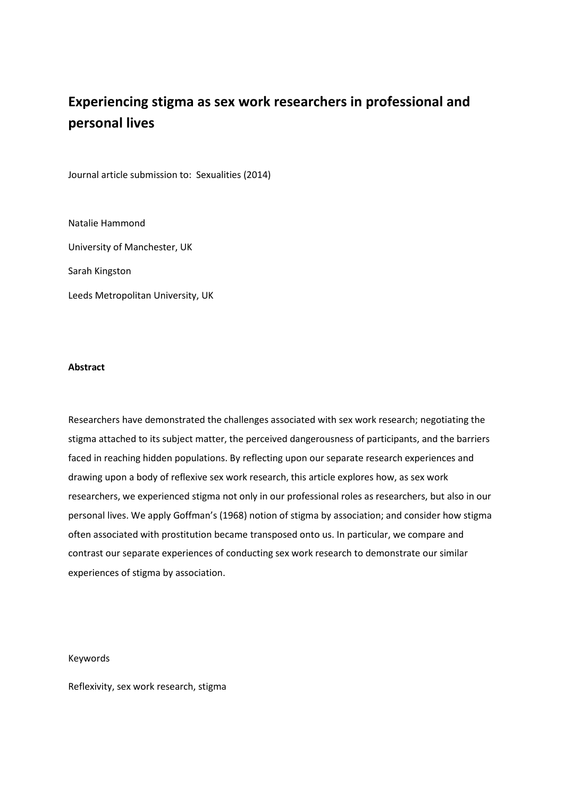# **Experiencing stigma as sex work researchers in professional and personal lives**

Journal article submission to: Sexualities (2014)

Natalie Hammond University of Manchester, UK

Sarah Kingston

Leeds Metropolitan University, UK

# **Abstract**

Researchers have demonstrated the challenges associated with sex work research; negotiating the stigma attached to its subject matter, the perceived dangerousness of participants, and the barriers faced in reaching hidden populations. By reflecting upon our separate research experiences and drawing upon a body of reflexive sex work research, this article explores how, as sex work researchers, we experienced stigma not only in our professional roles as researchers, but also in our personal lives. We apply Goffman's (1968) notion of stigma by association; and consider how stigma often associated with prostitution became transposed onto us. In particular, we compare and contrast our separate experiences of conducting sex work research to demonstrate our similar experiences of stigma by association.

Keywords

Reflexivity, sex work research, stigma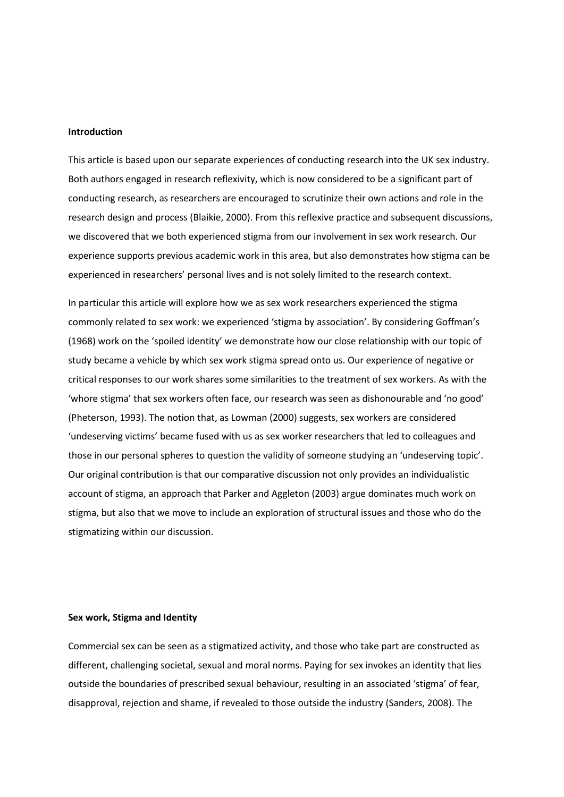### **Introduction**

This article is based upon our separate experiences of conducting research into the UK sex industry. Both authors engaged in research reflexivity, which is now considered to be a significant part of conducting research, as researchers are encouraged to scrutinize their own actions and role in the research design and process (Blaikie, 2000). From this reflexive practice and subsequent discussions, we discovered that we both experienced stigma from our involvement in sex work research. Our experience supports previous academic work in this area, but also demonstrates how stigma can be experienced in researchers' personal lives and is not solely limited to the research context.

In particular this article will explore how we as sex work researchers experienced the stigma commonly related to sex work: we experienced 'stigma by association'. By considering Goffman's (1968) work on the 'spoiled identity' we demonstrate how our close relationship with our topic of study became a vehicle by which sex work stigma spread onto us. Our experience of negative or critical responses to our work shares some similarities to the treatment of sex workers. As with the 'whore stigma' that sex workers often face, our research was seen as dishonourable and 'no good' (Pheterson, 1993). The notion that, as Lowman (2000) suggests, sex workers are considered 'undeserving victims' became fused with us as sex worker researchers that led to colleagues and those in our personal spheres to question the validity of someone studying an 'undeserving topic'. Our original contribution is that our comparative discussion not only provides an individualistic account of stigma, an approach that Parker and Aggleton (2003) argue dominates much work on stigma, but also that we move to include an exploration of structural issues and those who do the stigmatizing within our discussion.

# **Sex work, Stigma and Identity**

Commercial sex can be seen as a stigmatized activity, and those who take part are constructed as different, challenging societal, sexual and moral norms. Paying for sex invokes an identity that lies outside the boundaries of prescribed sexual behaviour, resulting in an associated 'stigma' of fear, disapproval, rejection and shame, if revealed to those outside the industry (Sanders, 2008). The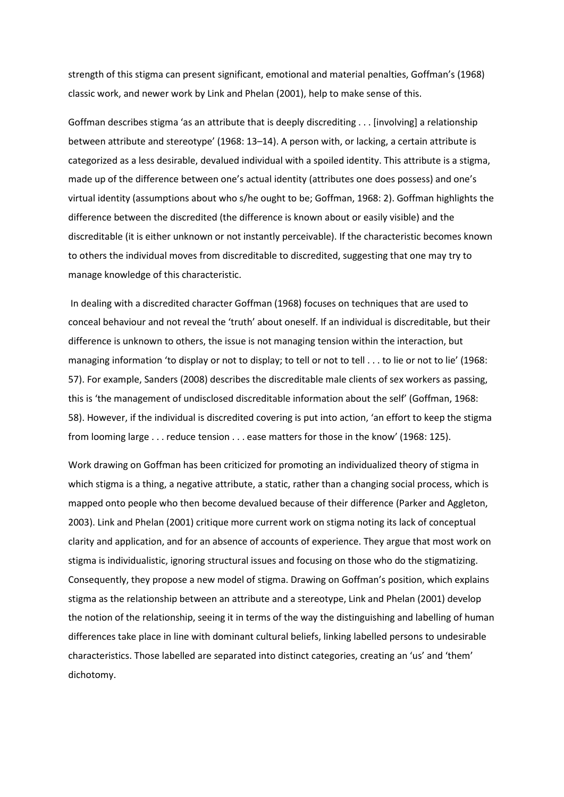strength of this stigma can present significant, emotional and material penalties, Goffman's (1968) classic work, and newer work by Link and Phelan (2001), help to make sense of this.

Goffman describes stigma 'as an attribute that is deeply discrediting . . . [involving] a relationship between attribute and stereotype' (1968: 13–14). A person with, or lacking, a certain attribute is categorized as a less desirable, devalued individual with a spoiled identity. This attribute is a stigma, made up of the difference between one's actual identity (attributes one does possess) and one's virtual identity (assumptions about who s/he ought to be; Goffman, 1968: 2). Goffman highlights the difference between the discredited (the difference is known about or easily visible) and the discreditable (it is either unknown or not instantly perceivable). If the characteristic becomes known to others the individual moves from discreditable to discredited, suggesting that one may try to manage knowledge of this characteristic.

In dealing with a discredited character Goffman (1968) focuses on techniques that are used to conceal behaviour and not reveal the 'truth' about oneself. If an individual is discreditable, but their difference is unknown to others, the issue is not managing tension within the interaction, but managing information 'to display or not to display; to tell or not to tell . . . to lie or not to lie' (1968: 57). For example, Sanders (2008) describes the discreditable male clients of sex workers as passing, this is 'the management of undisclosed discreditable information about the self' (Goffman, 1968: 58). However, if the individual is discredited covering is put into action, 'an effort to keep the stigma from looming large . . . reduce tension . . . ease matters for those in the know' (1968: 125).

Work drawing on Goffman has been criticized for promoting an individualized theory of stigma in which stigma is a thing, a negative attribute, a static, rather than a changing social process, which is mapped onto people who then become devalued because of their difference (Parker and Aggleton, 2003). Link and Phelan (2001) critique more current work on stigma noting its lack of conceptual clarity and application, and for an absence of accounts of experience. They argue that most work on stigma is individualistic, ignoring structural issues and focusing on those who do the stigmatizing. Consequently, they propose a new model of stigma. Drawing on Goffman's position, which explains stigma as the relationship between an attribute and a stereotype, Link and Phelan (2001) develop the notion of the relationship, seeing it in terms of the way the distinguishing and labelling of human differences take place in line with dominant cultural beliefs, linking labelled persons to undesirable characteristics. Those labelled are separated into distinct categories, creating an 'us' and 'them' dichotomy.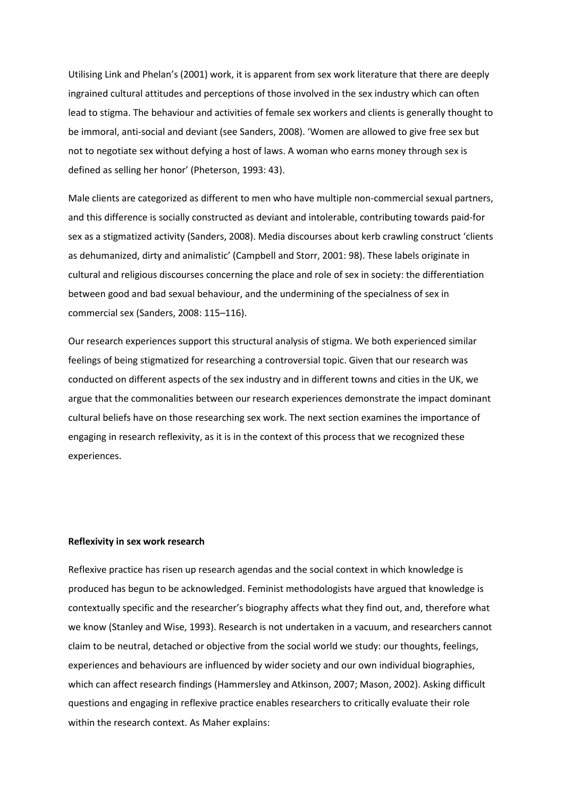Utilising Link and Phelan's (2001) work, it is apparent from sex work literature that there are deeply ingrained cultural attitudes and perceptions of those involved in the sex industry which can often lead to stigma. The behaviour and activities of female sex workers and clients is generally thought to be immoral, anti-social and deviant (see Sanders, 2008). 'Women are allowed to give free sex but not to negotiate sex without defying a host of laws. A woman who earns money through sex is defined as selling her honor' (Pheterson, 1993: 43).

Male clients are categorized as different to men who have multiple non-commercial sexual partners, and this difference is socially constructed as deviant and intolerable, contributing towards paid-for sex as a stigmatized activity (Sanders, 2008). Media discourses about kerb crawling construct 'clients as dehumanized, dirty and animalistic' (Campbell and Storr, 2001: 98). These labels originate in cultural and religious discourses concerning the place and role of sex in society: the differentiation between good and bad sexual behaviour, and the undermining of the specialness of sex in commercial sex (Sanders, 2008: 115–116).

Our research experiences support this structural analysis of stigma. We both experienced similar feelings of being stigmatized for researching a controversial topic. Given that our research was conducted on different aspects of the sex industry and in different towns and cities in the UK, we argue that the commonalities between our research experiences demonstrate the impact dominant cultural beliefs have on those researching sex work. The next section examines the importance of engaging in research reflexivity, as it is in the context of this process that we recognized these experiences.

#### **Reflexivity in sex work research**

Reflexive practice has risen up research agendas and the social context in which knowledge is produced has begun to be acknowledged. Feminist methodologists have argued that knowledge is contextually specific and the researcher's biography affects what they find out, and, therefore what we know (Stanley and Wise, 1993). Research is not undertaken in a vacuum, and researchers cannot claim to be neutral, detached or objective from the social world we study: our thoughts, feelings, experiences and behaviours are influenced by wider society and our own individual biographies, which can affect research findings (Hammersley and Atkinson, 2007; Mason, 2002). Asking difficult questions and engaging in reflexive practice enables researchers to critically evaluate their role within the research context. As Maher explains: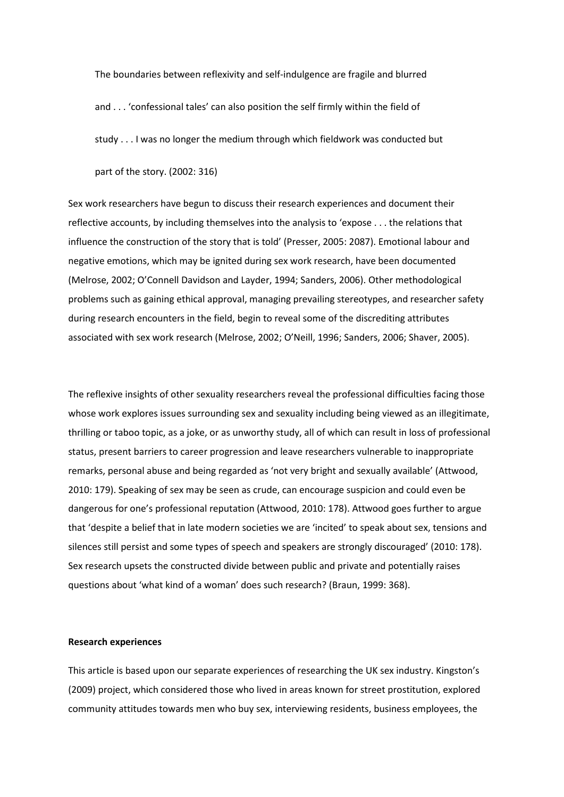The boundaries between reflexivity and self-indulgence are fragile and blurred and . . . 'confessional tales' can also position the self firmly within the field of study . . . I was no longer the medium through which fieldwork was conducted but

part of the story. (2002: 316)

Sex work researchers have begun to discuss their research experiences and document their reflective accounts, by including themselves into the analysis to 'expose . . . the relations that influence the construction of the story that is told' (Presser, 2005: 2087). Emotional labour and negative emotions, which may be ignited during sex work research, have been documented (Melrose, 2002; O'Connell Davidson and Layder, 1994; Sanders, 2006). Other methodological problems such as gaining ethical approval, managing prevailing stereotypes, and researcher safety during research encounters in the field, begin to reveal some of the discrediting attributes associated with sex work research (Melrose, 2002; O'Neill, 1996; Sanders, 2006; Shaver, 2005).

The reflexive insights of other sexuality researchers reveal the professional difficulties facing those whose work explores issues surrounding sex and sexuality including being viewed as an illegitimate, thrilling or taboo topic, as a joke, or as unworthy study, all of which can result in loss of professional status, present barriers to career progression and leave researchers vulnerable to inappropriate remarks, personal abuse and being regarded as 'not very bright and sexually available' (Attwood, 2010: 179). Speaking of sex may be seen as crude, can encourage suspicion and could even be dangerous for one's professional reputation (Attwood, 2010: 178). Attwood goes further to argue that 'despite a belief that in late modern societies we are 'incited' to speak about sex, tensions and silences still persist and some types of speech and speakers are strongly discouraged' (2010: 178). Sex research upsets the constructed divide between public and private and potentially raises questions about 'what kind of a woman' does such research? (Braun, 1999: 368).

#### **Research experiences**

This article is based upon our separate experiences of researching the UK sex industry. Kingston's (2009) project, which considered those who lived in areas known for street prostitution, explored community attitudes towards men who buy sex, interviewing residents, business employees, the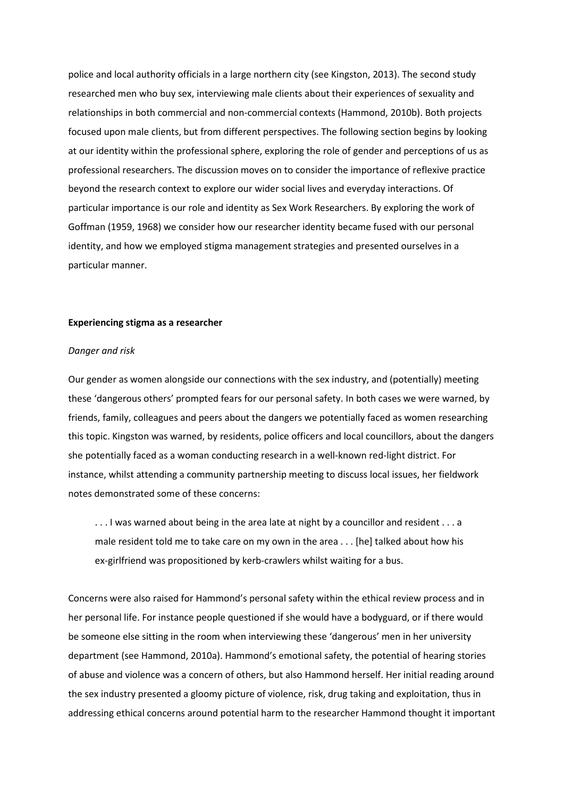police and local authority officials in a large northern city (see Kingston, 2013). The second study researched men who buy sex, interviewing male clients about their experiences of sexuality and relationships in both commercial and non-commercial contexts (Hammond, 2010b). Both projects focused upon male clients, but from different perspectives. The following section begins by looking at our identity within the professional sphere, exploring the role of gender and perceptions of us as professional researchers. The discussion moves on to consider the importance of reflexive practice beyond the research context to explore our wider social lives and everyday interactions. Of particular importance is our role and identity as Sex Work Researchers. By exploring the work of Goffman (1959, 1968) we consider how our researcher identity became fused with our personal identity, and how we employed stigma management strategies and presented ourselves in a particular manner.

#### **Experiencing stigma as a researcher**

### *Danger and risk*

Our gender as women alongside our connections with the sex industry, and (potentially) meeting these 'dangerous others' prompted fears for our personal safety. In both cases we were warned, by friends, family, colleagues and peers about the dangers we potentially faced as women researching this topic. Kingston was warned, by residents, police officers and local councillors, about the dangers she potentially faced as a woman conducting research in a well-known red-light district. For instance, whilst attending a community partnership meeting to discuss local issues, her fieldwork notes demonstrated some of these concerns:

. . . I was warned about being in the area late at night by a councillor and resident . . . a male resident told me to take care on my own in the area . . . [he] talked about how his ex-girlfriend was propositioned by kerb-crawlers whilst waiting for a bus.

Concerns were also raised for Hammond's personal safety within the ethical review process and in her personal life. For instance people questioned if she would have a bodyguard, or if there would be someone else sitting in the room when interviewing these 'dangerous' men in her university department (see Hammond, 2010a). Hammond's emotional safety, the potential of hearing stories of abuse and violence was a concern of others, but also Hammond herself. Her initial reading around the sex industry presented a gloomy picture of violence, risk, drug taking and exploitation, thus in addressing ethical concerns around potential harm to the researcher Hammond thought it important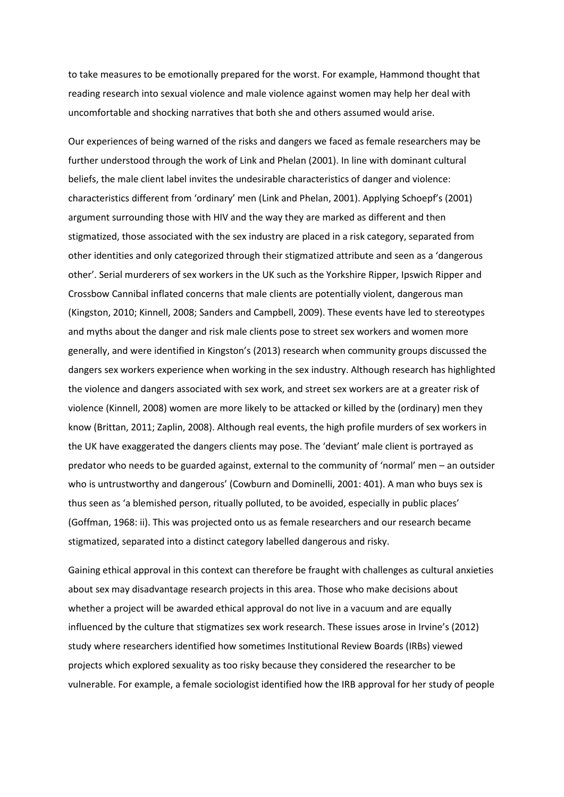to take measures to be emotionally prepared for the worst. For example, Hammond thought that reading research into sexual violence and male violence against women may help her deal with uncomfortable and shocking narratives that both she and others assumed would arise.

Our experiences of being warned of the risks and dangers we faced as female researchers may be further understood through the work of Link and Phelan (2001). In line with dominant cultural beliefs, the male client label invites the undesirable characteristics of danger and violence: characteristics different from 'ordinary' men (Link and Phelan, 2001). Applying Schoepf's (2001) argument surrounding those with HIV and the way they are marked as different and then stigmatized, those associated with the sex industry are placed in a risk category, separated from other identities and only categorized through their stigmatized attribute and seen as a 'dangerous other'. Serial murderers of sex workers in the UK such as the Yorkshire Ripper, Ipswich Ripper and Crossbow Cannibal inflated concerns that male clients are potentially violent, dangerous man (Kingston, 2010; Kinnell, 2008; Sanders and Campbell, 2009). These events have led to stereotypes and myths about the danger and risk male clients pose to street sex workers and women more generally, and were identified in Kingston's (2013) research when community groups discussed the dangers sex workers experience when working in the sex industry. Although research has highlighted the violence and dangers associated with sex work, and street sex workers are at a greater risk of violence (Kinnell, 2008) women are more likely to be attacked or killed by the (ordinary) men they know (Brittan, 2011; Zaplin, 2008). Although real events, the high profile murders of sex workers in the UK have exaggerated the dangers clients may pose. The 'deviant' male client is portrayed as predator who needs to be guarded against, external to the community of 'normal' men – an outsider who is untrustworthy and dangerous' (Cowburn and Dominelli, 2001: 401). A man who buys sex is thus seen as 'a blemished person, ritually polluted, to be avoided, especially in public places' (Goffman, 1968: ii). This was projected onto us as female researchers and our research became stigmatized, separated into a distinct category labelled dangerous and risky.

Gaining ethical approval in this context can therefore be fraught with challenges as cultural anxieties about sex may disadvantage research projects in this area. Those who make decisions about whether a project will be awarded ethical approval do not live in a vacuum and are equally influenced by the culture that stigmatizes sex work research. These issues arose in Irvine's (2012) study where researchers identified how sometimes Institutional Review Boards (IRBs) viewed projects which explored sexuality as too risky because they considered the researcher to be vulnerable. For example, a female sociologist identified how the IRB approval for her study of people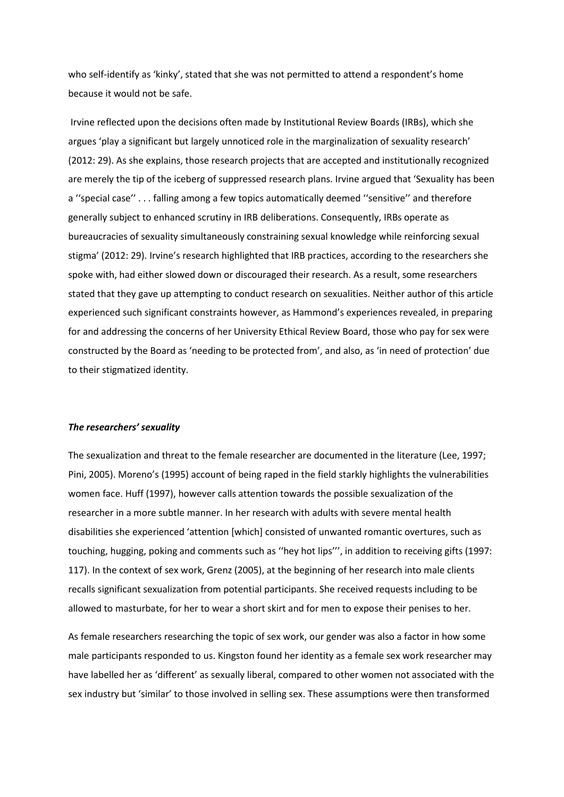who self-identify as 'kinky', stated that she was not permitted to attend a respondent's home because it would not be safe.

Irvine reflected upon the decisions often made by Institutional Review Boards (IRBs), which she argues 'play a significant but largely unnoticed role in the marginalization of sexuality research' (2012: 29). As she explains, those research projects that are accepted and institutionally recognized are merely the tip of the iceberg of suppressed research plans. Irvine argued that 'Sexuality has been a ''special case'' . . . falling among a few topics automatically deemed ''sensitive'' and therefore generally subject to enhanced scrutiny in IRB deliberations. Consequently, IRBs operate as bureaucracies of sexuality simultaneously constraining sexual knowledge while reinforcing sexual stigma' (2012: 29). Irvine's research highlighted that IRB practices, according to the researchers she spoke with, had either slowed down or discouraged their research. As a result, some researchers stated that they gave up attempting to conduct research on sexualities. Neither author of this article experienced such significant constraints however, as Hammond's experiences revealed, in preparing for and addressing the concerns of her University Ethical Review Board, those who pay for sex were constructed by the Board as 'needing to be protected from', and also, as 'in need of protection' due to their stigmatized identity.

#### *The researchers' sexuality*

The sexualization and threat to the female researcher are documented in the literature (Lee, 1997; Pini, 2005). Moreno's (1995) account of being raped in the field starkly highlights the vulnerabilities women face. Huff (1997), however calls attention towards the possible sexualization of the researcher in a more subtle manner. In her research with adults with severe mental health disabilities she experienced 'attention [which] consisted of unwanted romantic overtures, such as touching, hugging, poking and comments such as ''hey hot lips''', in addition to receiving gifts (1997: 117). In the context of sex work, Grenz (2005), at the beginning of her research into male clients recalls significant sexualization from potential participants. She received requests including to be allowed to masturbate, for her to wear a short skirt and for men to expose their penises to her.

As female researchers researching the topic of sex work, our gender was also a factor in how some male participants responded to us. Kingston found her identity as a female sex work researcher may have labelled her as 'different' as sexually liberal, compared to other women not associated with the sex industry but 'similar' to those involved in selling sex. These assumptions were then transformed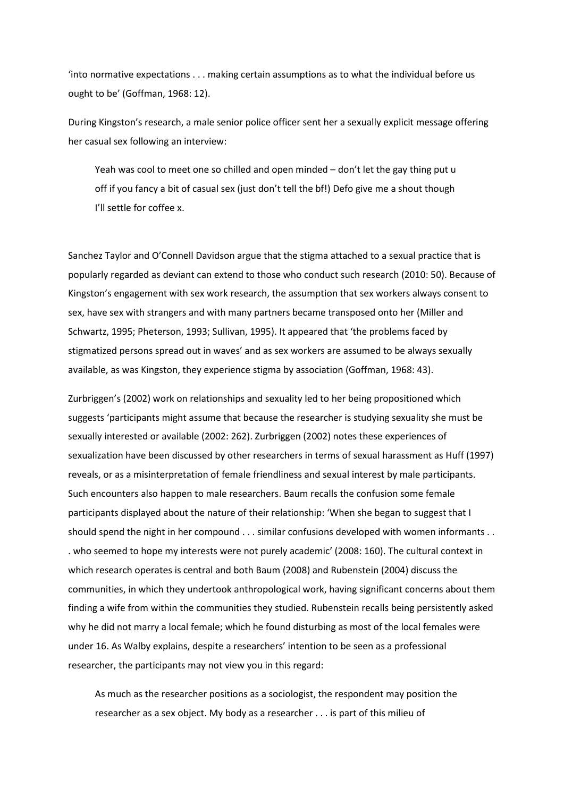'into normative expectations . . . making certain assumptions as to what the individual before us ought to be' (Goffman, 1968: 12).

During Kingston's research, a male senior police officer sent her a sexually explicit message offering her casual sex following an interview:

Yeah was cool to meet one so chilled and open minded – don't let the gay thing put u off if you fancy a bit of casual sex (just don't tell the bf!) Defo give me a shout though I'll settle for coffee x.

Sanchez Taylor and O'Connell Davidson argue that the stigma attached to a sexual practice that is popularly regarded as deviant can extend to those who conduct such research (2010: 50). Because of Kingston's engagement with sex work research, the assumption that sex workers always consent to sex, have sex with strangers and with many partners became transposed onto her (Miller and Schwartz, 1995; Pheterson, 1993; Sullivan, 1995). It appeared that 'the problems faced by stigmatized persons spread out in waves' and as sex workers are assumed to be always sexually available, as was Kingston, they experience stigma by association (Goffman, 1968: 43).

Zurbriggen's (2002) work on relationships and sexuality led to her being propositioned which suggests 'participants might assume that because the researcher is studying sexuality she must be sexually interested or available (2002: 262). Zurbriggen (2002) notes these experiences of sexualization have been discussed by other researchers in terms of sexual harassment as Huff (1997) reveals, or as a misinterpretation of female friendliness and sexual interest by male participants. Such encounters also happen to male researchers. Baum recalls the confusion some female participants displayed about the nature of their relationship: 'When she began to suggest that I should spend the night in her compound . . . similar confusions developed with women informants . . . who seemed to hope my interests were not purely academic' (2008: 160). The cultural context in which research operates is central and both Baum (2008) and Rubenstein (2004) discuss the communities, in which they undertook anthropological work, having significant concerns about them finding a wife from within the communities they studied. Rubenstein recalls being persistently asked why he did not marry a local female; which he found disturbing as most of the local females were under 16. As Walby explains, despite a researchers' intention to be seen as a professional researcher, the participants may not view you in this regard:

As much as the researcher positions as a sociologist, the respondent may position the researcher as a sex object. My body as a researcher . . . is part of this milieu of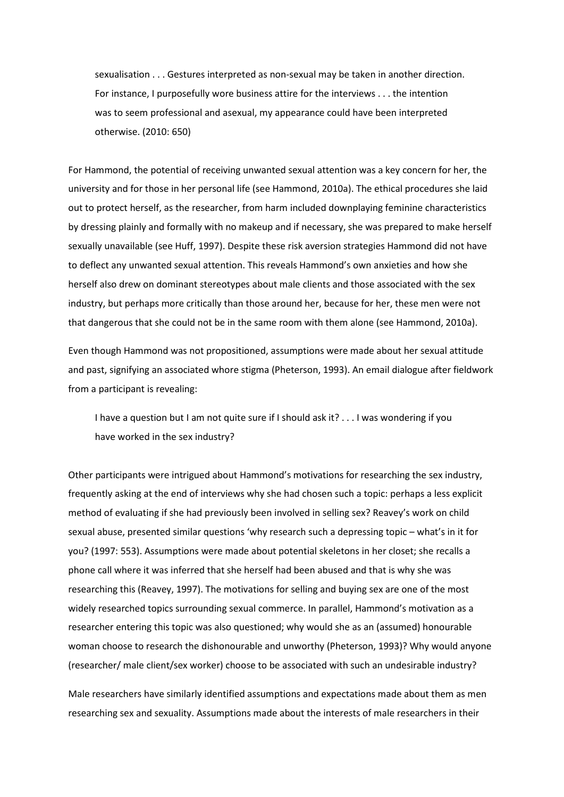sexualisation . . . Gestures interpreted as non-sexual may be taken in another direction. For instance, I purposefully wore business attire for the interviews . . . the intention was to seem professional and asexual, my appearance could have been interpreted otherwise. (2010: 650)

For Hammond, the potential of receiving unwanted sexual attention was a key concern for her, the university and for those in her personal life (see Hammond, 2010a). The ethical procedures she laid out to protect herself, as the researcher, from harm included downplaying feminine characteristics by dressing plainly and formally with no makeup and if necessary, she was prepared to make herself sexually unavailable (see Huff, 1997). Despite these risk aversion strategies Hammond did not have to deflect any unwanted sexual attention. This reveals Hammond's own anxieties and how she herself also drew on dominant stereotypes about male clients and those associated with the sex industry, but perhaps more critically than those around her, because for her, these men were not that dangerous that she could not be in the same room with them alone (see Hammond, 2010a).

Even though Hammond was not propositioned, assumptions were made about her sexual attitude and past, signifying an associated whore stigma (Pheterson, 1993). An email dialogue after fieldwork from a participant is revealing:

I have a question but I am not quite sure if I should ask it? . . . I was wondering if you have worked in the sex industry?

Other participants were intrigued about Hammond's motivations for researching the sex industry, frequently asking at the end of interviews why she had chosen such a topic: perhaps a less explicit method of evaluating if she had previously been involved in selling sex? Reavey's work on child sexual abuse, presented similar questions 'why research such a depressing topic – what's in it for you? (1997: 553). Assumptions were made about potential skeletons in her closet; she recalls a phone call where it was inferred that she herself had been abused and that is why she was researching this (Reavey, 1997). The motivations for selling and buying sex are one of the most widely researched topics surrounding sexual commerce. In parallel, Hammond's motivation as a researcher entering this topic was also questioned; why would she as an (assumed) honourable woman choose to research the dishonourable and unworthy (Pheterson, 1993)? Why would anyone (researcher/ male client/sex worker) choose to be associated with such an undesirable industry?

Male researchers have similarly identified assumptions and expectations made about them as men researching sex and sexuality. Assumptions made about the interests of male researchers in their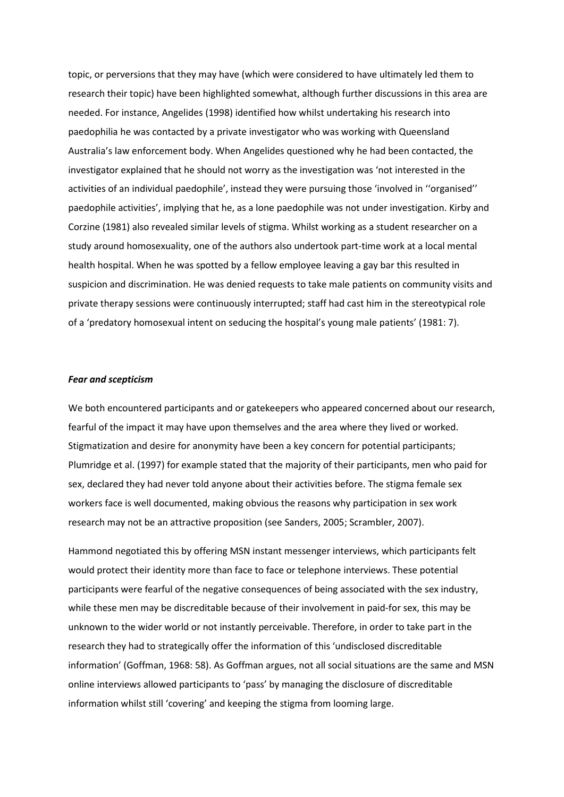topic, or perversions that they may have (which were considered to have ultimately led them to research their topic) have been highlighted somewhat, although further discussions in this area are needed. For instance, Angelides (1998) identified how whilst undertaking his research into paedophilia he was contacted by a private investigator who was working with Queensland Australia's law enforcement body. When Angelides questioned why he had been contacted, the investigator explained that he should not worry as the investigation was 'not interested in the activities of an individual paedophile', instead they were pursuing those 'involved in ''organised'' paedophile activities', implying that he, as a lone paedophile was not under investigation. Kirby and Corzine (1981) also revealed similar levels of stigma. Whilst working as a student researcher on a study around homosexuality, one of the authors also undertook part-time work at a local mental health hospital. When he was spotted by a fellow employee leaving a gay bar this resulted in suspicion and discrimination. He was denied requests to take male patients on community visits and private therapy sessions were continuously interrupted; staff had cast him in the stereotypical role of a 'predatory homosexual intent on seducing the hospital's young male patients' (1981: 7).

## *Fear and scepticism*

We both encountered participants and or gatekeepers who appeared concerned about our research, fearful of the impact it may have upon themselves and the area where they lived or worked. Stigmatization and desire for anonymity have been a key concern for potential participants; Plumridge et al. (1997) for example stated that the majority of their participants, men who paid for sex, declared they had never told anyone about their activities before. The stigma female sex workers face is well documented, making obvious the reasons why participation in sex work research may not be an attractive proposition (see Sanders, 2005; Scrambler, 2007).

Hammond negotiated this by offering MSN instant messenger interviews, which participants felt would protect their identity more than face to face or telephone interviews. These potential participants were fearful of the negative consequences of being associated with the sex industry, while these men may be discreditable because of their involvement in paid-for sex, this may be unknown to the wider world or not instantly perceivable. Therefore, in order to take part in the research they had to strategically offer the information of this 'undisclosed discreditable information' (Goffman, 1968: 58). As Goffman argues, not all social situations are the same and MSN online interviews allowed participants to 'pass' by managing the disclosure of discreditable information whilst still 'covering' and keeping the stigma from looming large.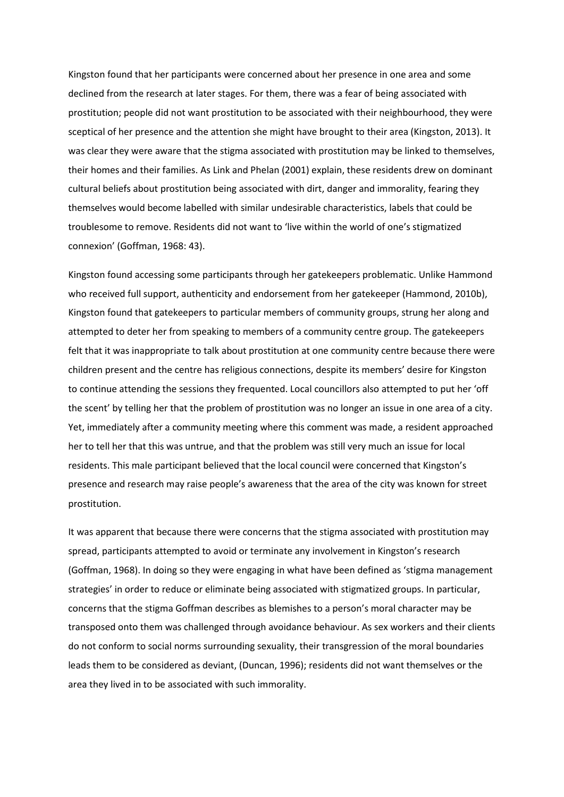Kingston found that her participants were concerned about her presence in one area and some declined from the research at later stages. For them, there was a fear of being associated with prostitution; people did not want prostitution to be associated with their neighbourhood, they were sceptical of her presence and the attention she might have brought to their area (Kingston, 2013). It was clear they were aware that the stigma associated with prostitution may be linked to themselves, their homes and their families. As Link and Phelan (2001) explain, these residents drew on dominant cultural beliefs about prostitution being associated with dirt, danger and immorality, fearing they themselves would become labelled with similar undesirable characteristics, labels that could be troublesome to remove. Residents did not want to 'live within the world of one's stigmatized connexion' (Goffman, 1968: 43).

Kingston found accessing some participants through her gatekeepers problematic. Unlike Hammond who received full support, authenticity and endorsement from her gatekeeper (Hammond, 2010b), Kingston found that gatekeepers to particular members of community groups, strung her along and attempted to deter her from speaking to members of a community centre group. The gatekeepers felt that it was inappropriate to talk about prostitution at one community centre because there were children present and the centre has religious connections, despite its members' desire for Kingston to continue attending the sessions they frequented. Local councillors also attempted to put her 'off the scent' by telling her that the problem of prostitution was no longer an issue in one area of a city. Yet, immediately after a community meeting where this comment was made, a resident approached her to tell her that this was untrue, and that the problem was still very much an issue for local residents. This male participant believed that the local council were concerned that Kingston's presence and research may raise people's awareness that the area of the city was known for street prostitution.

It was apparent that because there were concerns that the stigma associated with prostitution may spread, participants attempted to avoid or terminate any involvement in Kingston's research (Goffman, 1968). In doing so they were engaging in what have been defined as 'stigma management strategies' in order to reduce or eliminate being associated with stigmatized groups. In particular, concerns that the stigma Goffman describes as blemishes to a person's moral character may be transposed onto them was challenged through avoidance behaviour. As sex workers and their clients do not conform to social norms surrounding sexuality, their transgression of the moral boundaries leads them to be considered as deviant, (Duncan, 1996); residents did not want themselves or the area they lived in to be associated with such immorality.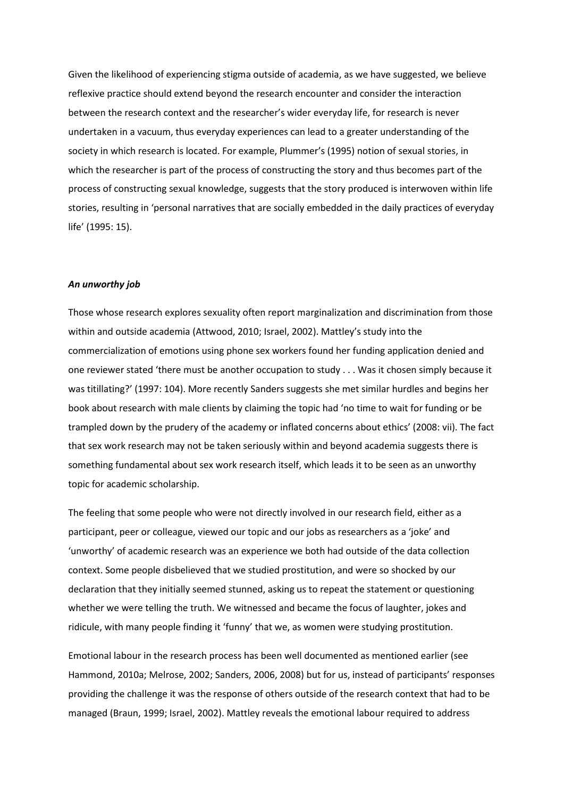Given the likelihood of experiencing stigma outside of academia, as we have suggested, we believe reflexive practice should extend beyond the research encounter and consider the interaction between the research context and the researcher's wider everyday life, for research is never undertaken in a vacuum, thus everyday experiences can lead to a greater understanding of the society in which research is located. For example, Plummer's (1995) notion of sexual stories, in which the researcher is part of the process of constructing the story and thus becomes part of the process of constructing sexual knowledge, suggests that the story produced is interwoven within life stories, resulting in 'personal narratives that are socially embedded in the daily practices of everyday life' (1995: 15).

# *An unworthy job*

Those whose research explores sexuality often report marginalization and discrimination from those within and outside academia (Attwood, 2010; Israel, 2002). Mattley's study into the commercialization of emotions using phone sex workers found her funding application denied and one reviewer stated 'there must be another occupation to study . . . Was it chosen simply because it was titillating?' (1997: 104). More recently Sanders suggests she met similar hurdles and begins her book about research with male clients by claiming the topic had 'no time to wait for funding or be trampled down by the prudery of the academy or inflated concerns about ethics' (2008: vii). The fact that sex work research may not be taken seriously within and beyond academia suggests there is something fundamental about sex work research itself, which leads it to be seen as an unworthy topic for academic scholarship.

The feeling that some people who were not directly involved in our research field, either as a participant, peer or colleague, viewed our topic and our jobs as researchers as a 'joke' and 'unworthy' of academic research was an experience we both had outside of the data collection context. Some people disbelieved that we studied prostitution, and were so shocked by our declaration that they initially seemed stunned, asking us to repeat the statement or questioning whether we were telling the truth. We witnessed and became the focus of laughter, jokes and ridicule, with many people finding it 'funny' that we, as women were studying prostitution.

Emotional labour in the research process has been well documented as mentioned earlier (see Hammond, 2010a; Melrose, 2002; Sanders, 2006, 2008) but for us, instead of participants' responses providing the challenge it was the response of others outside of the research context that had to be managed (Braun, 1999; Israel, 2002). Mattley reveals the emotional labour required to address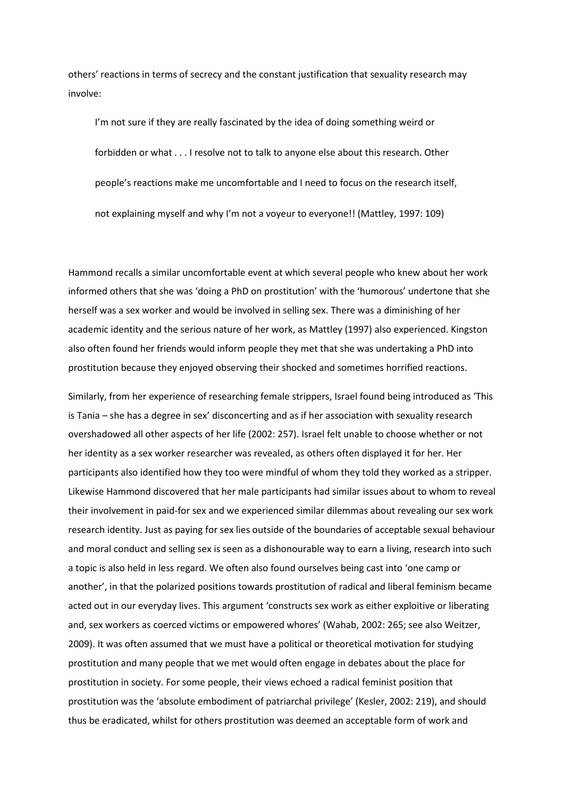others' reactions in terms of secrecy and the constant justification that sexuality research may involve:

I'm not sure if they are really fascinated by the idea of doing something weird or forbidden or what . . . I resolve not to talk to anyone else about this research. Other people's reactions make me uncomfortable and I need to focus on the research itself, not explaining myself and why I'm not a voyeur to everyone!! (Mattley, 1997: 109)

Hammond recalls a similar uncomfortable event at which several people who knew about her work informed others that she was 'doing a PhD on prostitution' with the 'humorous' undertone that she herself was a sex worker and would be involved in selling sex. There was a diminishing of her academic identity and the serious nature of her work, as Mattley (1997) also experienced. Kingston also often found her friends would inform people they met that she was undertaking a PhD into prostitution because they enjoyed observing their shocked and sometimes horrified reactions.

Similarly, from her experience of researching female strippers, Israel found being introduced as 'This is Tania – she has a degree in sex' disconcerting and as if her association with sexuality research overshadowed all other aspects of her life (2002: 257). Israel felt unable to choose whether or not her identity as a sex worker researcher was revealed, as others often displayed it for her. Her participants also identified how they too were mindful of whom they told they worked as a stripper. Likewise Hammond discovered that her male participants had similar issues about to whom to reveal their involvement in paid-for sex and we experienced similar dilemmas about revealing our sex work research identity. Just as paying for sex lies outside of the boundaries of acceptable sexual behaviour and moral conduct and selling sex is seen as a dishonourable way to earn a living, research into such a topic is also held in less regard. We often also found ourselves being cast into 'one camp or another', in that the polarized positions towards prostitution of radical and liberal feminism became acted out in our everyday lives. This argument 'constructs sex work as either exploitive or liberating and, sex workers as coerced victims or empowered whores' (Wahab, 2002: 265; see also Weitzer, 2009). It was often assumed that we must have a political or theoretical motivation for studying prostitution and many people that we met would often engage in debates about the place for prostitution in society. For some people, their views echoed a radical feminist position that prostitution was the 'absolute embodiment of patriarchal privilege' (Kesler, 2002: 219), and should thus be eradicated, whilst for others prostitution was deemed an acceptable form of work and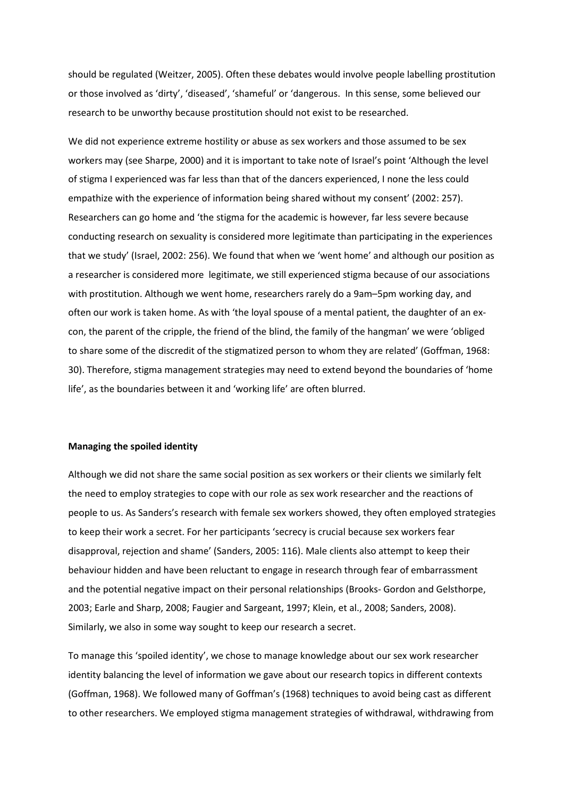should be regulated (Weitzer, 2005). Often these debates would involve people labelling prostitution or those involved as 'dirty', 'diseased', 'shameful' or 'dangerous. In this sense, some believed our research to be unworthy because prostitution should not exist to be researched.

We did not experience extreme hostility or abuse as sex workers and those assumed to be sex workers may (see Sharpe, 2000) and it is important to take note of Israel's point 'Although the level of stigma I experienced was far less than that of the dancers experienced, I none the less could empathize with the experience of information being shared without my consent' (2002: 257). Researchers can go home and 'the stigma for the academic is however, far less severe because conducting research on sexuality is considered more legitimate than participating in the experiences that we study' (Israel, 2002: 256). We found that when we 'went home' and although our position as a researcher is considered more legitimate, we still experienced stigma because of our associations with prostitution. Although we went home, researchers rarely do a 9am–5pm working day, and often our work is taken home. As with 'the loyal spouse of a mental patient, the daughter of an excon, the parent of the cripple, the friend of the blind, the family of the hangman' we were 'obliged to share some of the discredit of the stigmatized person to whom they are related' (Goffman, 1968: 30). Therefore, stigma management strategies may need to extend beyond the boundaries of 'home life', as the boundaries between it and 'working life' are often blurred.

#### **Managing the spoiled identity**

Although we did not share the same social position as sex workers or their clients we similarly felt the need to employ strategies to cope with our role as sex work researcher and the reactions of people to us. As Sanders's research with female sex workers showed, they often employed strategies to keep their work a secret. For her participants 'secrecy is crucial because sex workers fear disapproval, rejection and shame' (Sanders, 2005: 116). Male clients also attempt to keep their behaviour hidden and have been reluctant to engage in research through fear of embarrassment and the potential negative impact on their personal relationships (Brooks- Gordon and Gelsthorpe, 2003; Earle and Sharp, 2008; Faugier and Sargeant, 1997; Klein, et al., 2008; Sanders, 2008). Similarly, we also in some way sought to keep our research a secret.

To manage this 'spoiled identity', we chose to manage knowledge about our sex work researcher identity balancing the level of information we gave about our research topics in different contexts (Goffman, 1968). We followed many of Goffman's (1968) techniques to avoid being cast as different to other researchers. We employed stigma management strategies of withdrawal, withdrawing from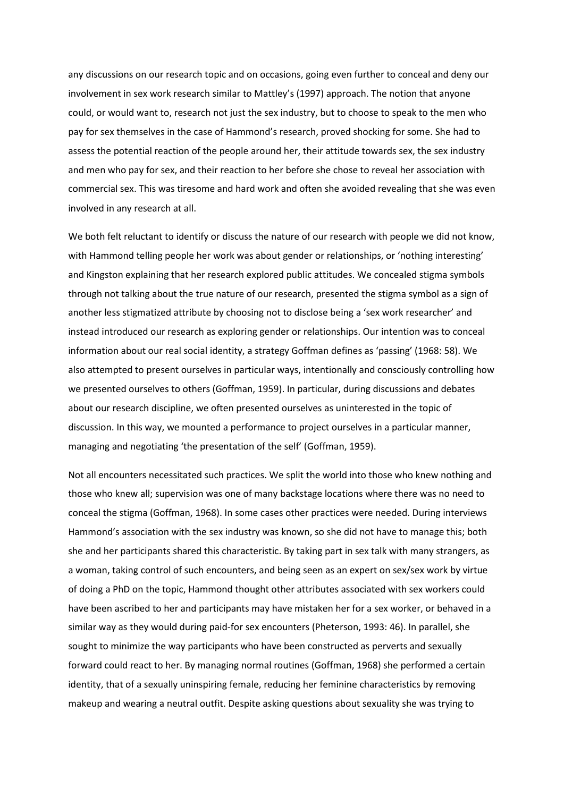any discussions on our research topic and on occasions, going even further to conceal and deny our involvement in sex work research similar to Mattley's (1997) approach. The notion that anyone could, or would want to, research not just the sex industry, but to choose to speak to the men who pay for sex themselves in the case of Hammond's research, proved shocking for some. She had to assess the potential reaction of the people around her, their attitude towards sex, the sex industry and men who pay for sex, and their reaction to her before she chose to reveal her association with commercial sex. This was tiresome and hard work and often she avoided revealing that she was even involved in any research at all.

We both felt reluctant to identify or discuss the nature of our research with people we did not know, with Hammond telling people her work was about gender or relationships, or 'nothing interesting' and Kingston explaining that her research explored public attitudes. We concealed stigma symbols through not talking about the true nature of our research, presented the stigma symbol as a sign of another less stigmatized attribute by choosing not to disclose being a 'sex work researcher' and instead introduced our research as exploring gender or relationships. Our intention was to conceal information about our real social identity, a strategy Goffman defines as 'passing' (1968: 58). We also attempted to present ourselves in particular ways, intentionally and consciously controlling how we presented ourselves to others (Goffman, 1959). In particular, during discussions and debates about our research discipline, we often presented ourselves as uninterested in the topic of discussion. In this way, we mounted a performance to project ourselves in a particular manner, managing and negotiating 'the presentation of the self' (Goffman, 1959).

Not all encounters necessitated such practices. We split the world into those who knew nothing and those who knew all; supervision was one of many backstage locations where there was no need to conceal the stigma (Goffman, 1968). In some cases other practices were needed. During interviews Hammond's association with the sex industry was known, so she did not have to manage this; both she and her participants shared this characteristic. By taking part in sex talk with many strangers, as a woman, taking control of such encounters, and being seen as an expert on sex/sex work by virtue of doing a PhD on the topic, Hammond thought other attributes associated with sex workers could have been ascribed to her and participants may have mistaken her for a sex worker, or behaved in a similar way as they would during paid-for sex encounters (Pheterson, 1993: 46). In parallel, she sought to minimize the way participants who have been constructed as perverts and sexually forward could react to her. By managing normal routines (Goffman, 1968) she performed a certain identity, that of a sexually uninspiring female, reducing her feminine characteristics by removing makeup and wearing a neutral outfit. Despite asking questions about sexuality she was trying to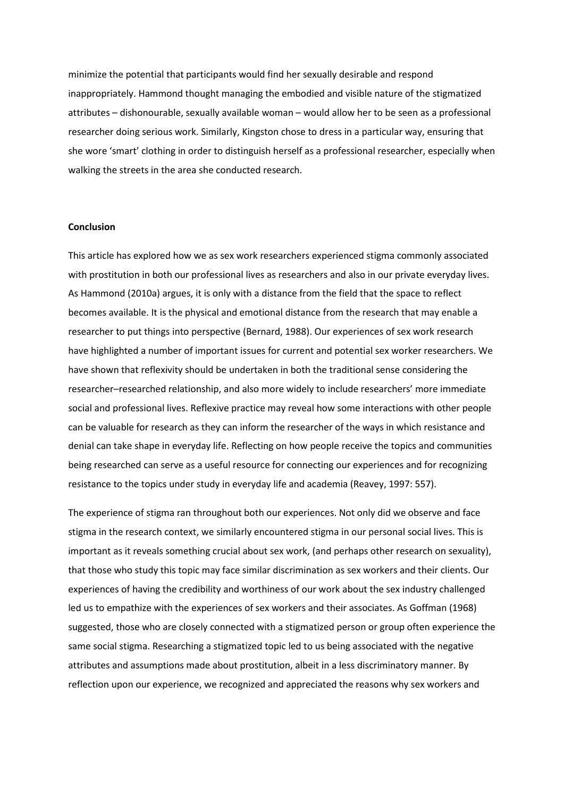minimize the potential that participants would find her sexually desirable and respond inappropriately. Hammond thought managing the embodied and visible nature of the stigmatized attributes – dishonourable, sexually available woman – would allow her to be seen as a professional researcher doing serious work. Similarly, Kingston chose to dress in a particular way, ensuring that she wore 'smart' clothing in order to distinguish herself as a professional researcher, especially when walking the streets in the area she conducted research.

## **Conclusion**

This article has explored how we as sex work researchers experienced stigma commonly associated with prostitution in both our professional lives as researchers and also in our private everyday lives. As Hammond (2010a) argues, it is only with a distance from the field that the space to reflect becomes available. It is the physical and emotional distance from the research that may enable a researcher to put things into perspective (Bernard, 1988). Our experiences of sex work research have highlighted a number of important issues for current and potential sex worker researchers. We have shown that reflexivity should be undertaken in both the traditional sense considering the researcher–researched relationship, and also more widely to include researchers' more immediate social and professional lives. Reflexive practice may reveal how some interactions with other people can be valuable for research as they can inform the researcher of the ways in which resistance and denial can take shape in everyday life. Reflecting on how people receive the topics and communities being researched can serve as a useful resource for connecting our experiences and for recognizing resistance to the topics under study in everyday life and academia (Reavey, 1997: 557).

The experience of stigma ran throughout both our experiences. Not only did we observe and face stigma in the research context, we similarly encountered stigma in our personal social lives. This is important as it reveals something crucial about sex work, (and perhaps other research on sexuality), that those who study this topic may face similar discrimination as sex workers and their clients. Our experiences of having the credibility and worthiness of our work about the sex industry challenged led us to empathize with the experiences of sex workers and their associates. As Goffman (1968) suggested, those who are closely connected with a stigmatized person or group often experience the same social stigma. Researching a stigmatized topic led to us being associated with the negative attributes and assumptions made about prostitution, albeit in a less discriminatory manner. By reflection upon our experience, we recognized and appreciated the reasons why sex workers and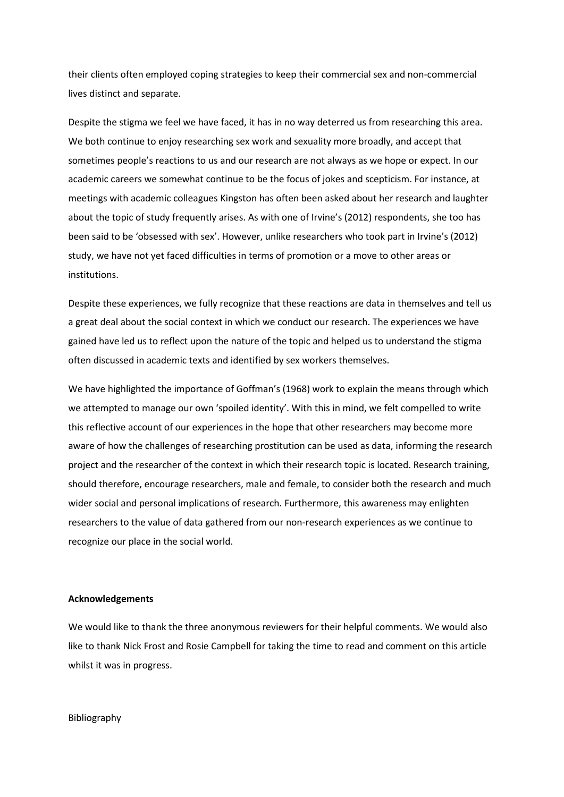their clients often employed coping strategies to keep their commercial sex and non-commercial lives distinct and separate.

Despite the stigma we feel we have faced, it has in no way deterred us from researching this area. We both continue to enjoy researching sex work and sexuality more broadly, and accept that sometimes people's reactions to us and our research are not always as we hope or expect. In our academic careers we somewhat continue to be the focus of jokes and scepticism. For instance, at meetings with academic colleagues Kingston has often been asked about her research and laughter about the topic of study frequently arises. As with one of Irvine's (2012) respondents, she too has been said to be 'obsessed with sex'. However, unlike researchers who took part in Irvine's (2012) study, we have not yet faced difficulties in terms of promotion or a move to other areas or institutions.

Despite these experiences, we fully recognize that these reactions are data in themselves and tell us a great deal about the social context in which we conduct our research. The experiences we have gained have led us to reflect upon the nature of the topic and helped us to understand the stigma often discussed in academic texts and identified by sex workers themselves.

We have highlighted the importance of Goffman's (1968) work to explain the means through which we attempted to manage our own 'spoiled identity'. With this in mind, we felt compelled to write this reflective account of our experiences in the hope that other researchers may become more aware of how the challenges of researching prostitution can be used as data, informing the research project and the researcher of the context in which their research topic is located. Research training, should therefore, encourage researchers, male and female, to consider both the research and much wider social and personal implications of research. Furthermore, this awareness may enlighten researchers to the value of data gathered from our non-research experiences as we continue to recognize our place in the social world.

# **Acknowledgements**

We would like to thank the three anonymous reviewers for their helpful comments. We would also like to thank Nick Frost and Rosie Campbell for taking the time to read and comment on this article whilst it was in progress.

#### Bibliography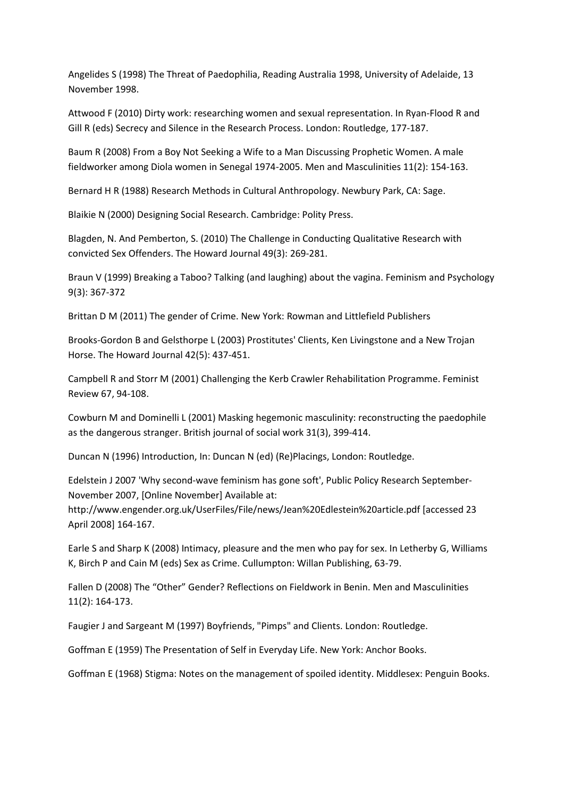Angelides S (1998) The Threat of Paedophilia, Reading Australia 1998, University of Adelaide, 13 November 1998.

Attwood F (2010) Dirty work: researching women and sexual representation. In Ryan-Flood R and Gill R (eds) Secrecy and Silence in the Research Process. London: Routledge, 177-187.

Baum R (2008) From a Boy Not Seeking a Wife to a Man Discussing Prophetic Women. A male fieldworker among Diola women in Senegal 1974-2005. Men and Masculinities 11(2): 154-163.

Bernard H R (1988) Research Methods in Cultural Anthropology. Newbury Park, CA: Sage.

Blaikie N (2000) Designing Social Research. Cambridge: Polity Press.

Blagden, N. And Pemberton, S. (2010) The Challenge in Conducting Qualitative Research with convicted Sex Offenders. The Howard Journal 49(3): 269-281.

Braun V (1999) Breaking a Taboo? Talking (and laughing) about the vagina. Feminism and Psychology 9(3): 367-372

Brittan D M (2011) The gender of Crime. New York: Rowman and Littlefield Publishers

Brooks-Gordon B and Gelsthorpe L (2003) Prostitutes' Clients, Ken Livingstone and a New Trojan Horse. The Howard Journal 42(5): 437-451.

Campbell R and Storr M (2001) Challenging the Kerb Crawler Rehabilitation Programme. Feminist Review 67, 94-108.

Cowburn M and Dominelli L (2001) Masking hegemonic masculinity: reconstructing the paedophile as the dangerous stranger. British journal of social work 31(3), 399-414.

Duncan N (1996) Introduction, In: Duncan N (ed) (Re)Placings, London: Routledge.

Edelstein J 2007 'Why second-wave feminism has gone soft', Public Policy Research September-November 2007, [Online November] Available at:

http://www.engender.org.uk/UserFiles/File/news/Jean%20Edlestein%20article.pdf [accessed 23 April 2008] 164-167.

Earle S and Sharp K (2008) Intimacy, pleasure and the men who pay for sex. In Letherby G, Williams K, Birch P and Cain M (eds) Sex as Crime. Cullumpton: Willan Publishing, 63-79.

Fallen D (2008) The "Other" Gender? Reflections on Fieldwork in Benin. Men and Masculinities 11(2): 164-173.

Faugier J and Sargeant M (1997) Boyfriends, "Pimps" and Clients. London: Routledge.

Goffman E (1959) The Presentation of Self in Everyday Life. New York: Anchor Books.

Goffman E (1968) Stigma: Notes on the management of spoiled identity. Middlesex: Penguin Books.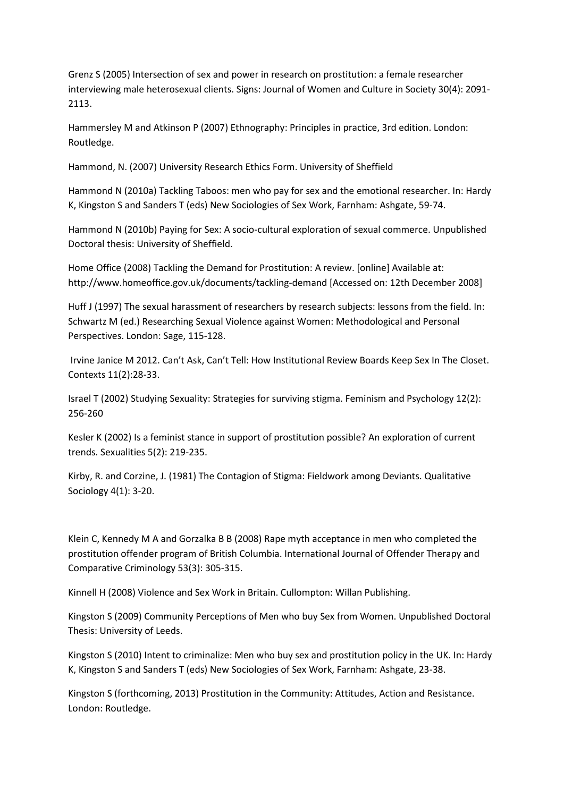Grenz S (2005) Intersection of sex and power in research on prostitution: a female researcher interviewing male heterosexual clients. Signs: Journal of Women and Culture in Society 30(4): 2091- 2113.

Hammersley M and Atkinson P (2007) Ethnography: Principles in practice, 3rd edition. London: Routledge.

Hammond, N. (2007) University Research Ethics Form. University of Sheffield

Hammond N (2010a) Tackling Taboos: men who pay for sex and the emotional researcher. In: Hardy K, Kingston S and Sanders T (eds) New Sociologies of Sex Work, Farnham: Ashgate, 59-74.

Hammond N (2010b) Paying for Sex: A socio-cultural exploration of sexual commerce. Unpublished Doctoral thesis: University of Sheffield.

Home Office (2008) Tackling the Demand for Prostitution: A review. [online] Available at: http://www.homeoffice.gov.uk/documents/tackling-demand [Accessed on: 12th December 2008]

Huff J (1997) The sexual harassment of researchers by research subjects: lessons from the field. In: Schwartz M (ed.) Researching Sexual Violence against Women: Methodological and Personal Perspectives. London: Sage, 115-128.

Irvine Janice M 2012. Can't Ask, Can't Tell: How Institutional Review Boards Keep Sex In The Closet. Contexts 11(2):28-33.

Israel T (2002) Studying Sexuality: Strategies for surviving stigma. Feminism and Psychology 12(2): 256-260

Kesler K (2002) Is a feminist stance in support of prostitution possible? An exploration of current trends. Sexualities 5(2): 219-235.

Kirby, R. and Corzine, J. (1981) The Contagion of Stigma: Fieldwork among Deviants. Qualitative Sociology 4(1): 3-20.

Klein C, Kennedy M A and Gorzalka B B (2008) Rape myth acceptance in men who completed the prostitution offender program of British Columbia. International Journal of Offender Therapy and Comparative Criminology 53(3): 305-315.

Kinnell H (2008) Violence and Sex Work in Britain. Cullompton: Willan Publishing.

Kingston S (2009) Community Perceptions of Men who buy Sex from Women. Unpublished Doctoral Thesis: University of Leeds.

Kingston S (2010) Intent to criminalize: Men who buy sex and prostitution policy in the UK. In: Hardy K, Kingston S and Sanders T (eds) New Sociologies of Sex Work, Farnham: Ashgate, 23-38.

Kingston S (forthcoming, 2013) Prostitution in the Community: Attitudes, Action and Resistance. London: Routledge.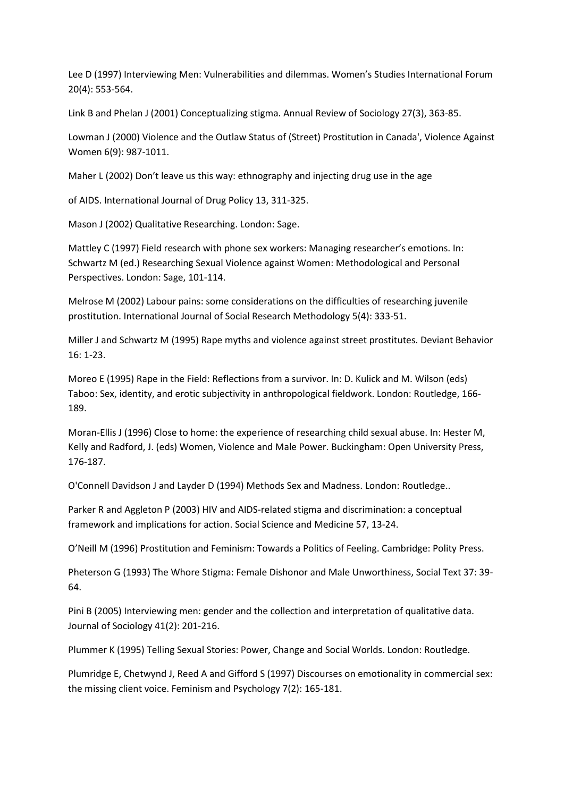Lee D (1997) Interviewing Men: Vulnerabilities and dilemmas. Women's Studies International Forum 20(4): 553-564.

Link B and Phelan J (2001) Conceptualizing stigma. Annual Review of Sociology 27(3), 363-85.

Lowman J (2000) Violence and the Outlaw Status of (Street) Prostitution in Canada', Violence Against Women 6(9): 987-1011.

Maher L (2002) Don't leave us this way: ethnography and injecting drug use in the age

of AIDS. International Journal of Drug Policy 13, 311-325.

Mason J (2002) Qualitative Researching. London: Sage.

Mattley C (1997) Field research with phone sex workers: Managing researcher's emotions. In: Schwartz M (ed.) Researching Sexual Violence against Women: Methodological and Personal Perspectives. London: Sage, 101-114.

Melrose M (2002) Labour pains: some considerations on the difficulties of researching juvenile prostitution. International Journal of Social Research Methodology 5(4): 333-51.

Miller J and Schwartz M (1995) Rape myths and violence against street prostitutes. Deviant Behavior 16: 1-23.

Moreo E (1995) Rape in the Field: Reflections from a survivor. In: D. Kulick and M. Wilson (eds) Taboo: Sex, identity, and erotic subjectivity in anthropological fieldwork. London: Routledge, 166- 189.

Moran-Ellis J (1996) Close to home: the experience of researching child sexual abuse. In: Hester M, Kelly and Radford, J. (eds) Women, Violence and Male Power. Buckingham: Open University Press, 176-187.

O'Connell Davidson J and Layder D (1994) Methods Sex and Madness. London: Routledge..

Parker R and Aggleton P (2003) HIV and AIDS-related stigma and discrimination: a conceptual framework and implications for action. Social Science and Medicine 57, 13-24.

O'Neill M (1996) Prostitution and Feminism: Towards a Politics of Feeling. Cambridge: Polity Press.

Pheterson G (1993) The Whore Stigma: Female Dishonor and Male Unworthiness, Social Text 37: 39- 64.

Pini B (2005) Interviewing men: gender and the collection and interpretation of qualitative data. Journal of Sociology 41(2): 201-216.

Plummer K (1995) Telling Sexual Stories: Power, Change and Social Worlds. London: Routledge.

Plumridge E, Chetwynd J, Reed A and Gifford S (1997) Discourses on emotionality in commercial sex: the missing client voice. Feminism and Psychology 7(2): 165-181.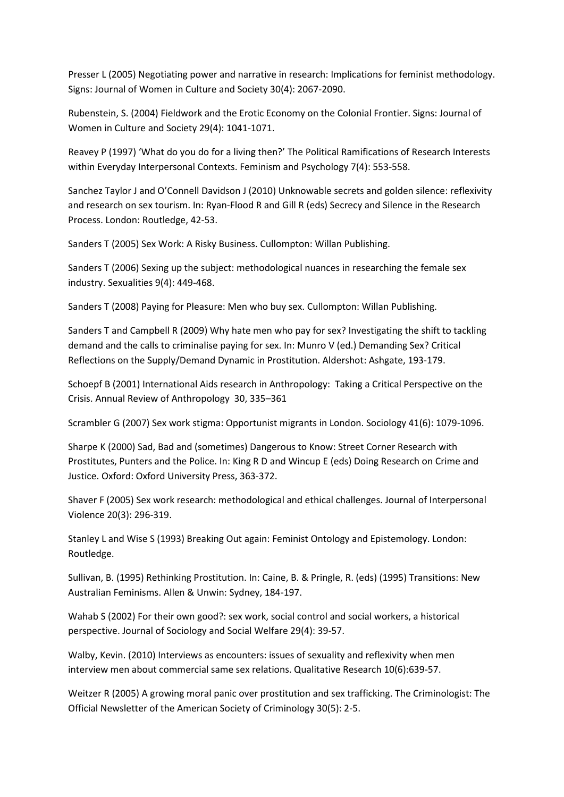Presser L (2005) Negotiating power and narrative in research: Implications for feminist methodology. Signs: Journal of Women in Culture and Society 30(4): 2067-2090.

Rubenstein, S. (2004) Fieldwork and the Erotic Economy on the Colonial Frontier. Signs: Journal of Women in Culture and Society 29(4): 1041-1071.

Reavey P (1997) 'What do you do for a living then?' The Political Ramifications of Research Interests within Everyday Interpersonal Contexts. Feminism and Psychology 7(4): 553-558.

Sanchez Taylor J and O'Connell Davidson J (2010) Unknowable secrets and golden silence: reflexivity and research on sex tourism. In: Ryan-Flood R and Gill R (eds) Secrecy and Silence in the Research Process. London: Routledge, 42-53.

Sanders T (2005) Sex Work: A Risky Business. Cullompton: Willan Publishing.

Sanders T (2006) Sexing up the subject: methodological nuances in researching the female sex industry. Sexualities 9(4): 449-468.

Sanders T (2008) Paying for Pleasure: Men who buy sex. Cullompton: Willan Publishing.

Sanders T and Campbell R (2009) Why hate men who pay for sex? Investigating the shift to tackling demand and the calls to criminalise paying for sex. In: Munro V (ed.) Demanding Sex? Critical Reflections on the Supply/Demand Dynamic in Prostitution. Aldershot: Ashgate, 193-179.

Schoepf B (2001) International Aids research in Anthropology: Taking a Critical Perspective on the Crisis. Annual Review of Anthropology 30, 335–361

Scrambler G (2007) Sex work stigma: Opportunist migrants in London. Sociology 41(6): 1079-1096.

Sharpe K (2000) Sad, Bad and (sometimes) Dangerous to Know: Street Corner Research with Prostitutes, Punters and the Police. In: King R D and Wincup E (eds) Doing Research on Crime and Justice. Oxford: Oxford University Press, 363-372.

Shaver F (2005) Sex work research: methodological and ethical challenges. Journal of Interpersonal Violence 20(3): 296-319.

Stanley L and Wise S (1993) Breaking Out again: Feminist Ontology and Epistemology. London: Routledge.

Sullivan, B. (1995) Rethinking Prostitution. In: Caine, B. & Pringle, R. (eds) (1995) Transitions: New Australian Feminisms. Allen & Unwin: Sydney, 184-197.

Wahab S (2002) For their own good?: sex work, social control and social workers, a historical perspective. Journal of Sociology and Social Welfare 29(4): 39-57.

Walby, Kevin. (2010) Interviews as encounters: issues of sexuality and reflexivity when men interview men about commercial same sex relations. Qualitative Research 10(6):639-57.

Weitzer R (2005) A growing moral panic over prostitution and sex trafficking. The Criminologist: The Official Newsletter of the American Society of Criminology 30(5): 2-5.